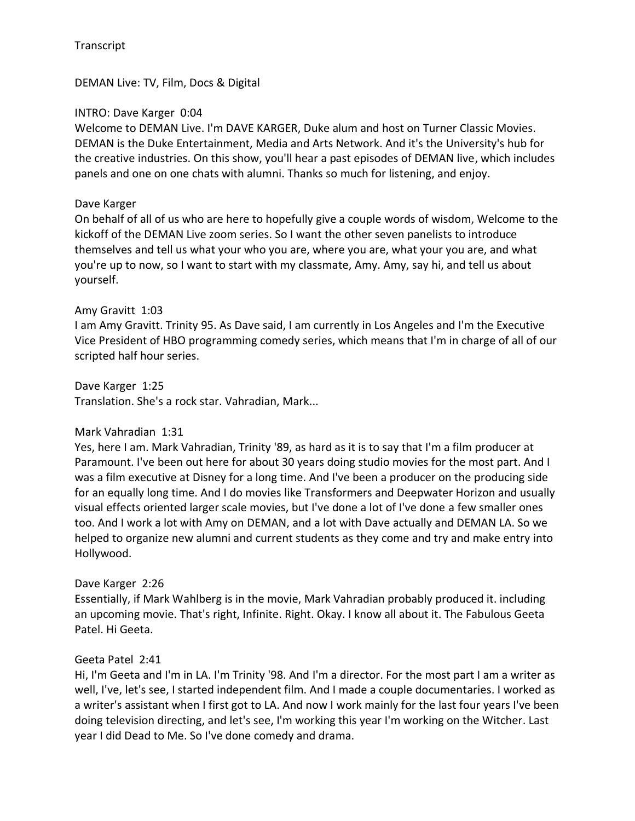DEMAN Live: TV, Film, Docs & Digital

### INTRO: Dave Karger 0:04

Welcome to DEMAN Live. I'm DAVE KARGER, Duke alum and host on Turner Classic Movies. DEMAN is the Duke Entertainment, Media and Arts Network. And it's the University's hub for the creative industries. On this show, you'll hear a past episodes of DEMAN live, which includes panels and one on one chats with alumni. Thanks so much for listening, and enjoy.

### Dave Karger

On behalf of all of us who are here to hopefully give a couple words of wisdom, Welcome to the kickoff of the DEMAN Live zoom series. So I want the other seven panelists to introduce themselves and tell us what your who you are, where you are, what your you are, and what you're up to now, so I want to start with my classmate, Amy. Amy, say hi, and tell us about yourself.

### Amy Gravitt 1:03

I am Amy Gravitt. Trinity 95. As Dave said, I am currently in Los Angeles and I'm the Executive Vice President of HBO programming comedy series, which means that I'm in charge of all of our scripted half hour series.

Dave Karger 1:25 Translation. She's a rock star. Vahradian, Mark...

## Mark Vahradian 1:31

Yes, here I am. Mark Vahradian, Trinity '89, as hard as it is to say that I'm a film producer at Paramount. I've been out here for about 30 years doing studio movies for the most part. And I was a film executive at Disney for a long time. And I've been a producer on the producing side for an equally long time. And I do movies like Transformers and Deepwater Horizon and usually visual effects oriented larger scale movies, but I've done a lot of I've done a few smaller ones too. And I work a lot with Amy on DEMAN, and a lot with Dave actually and DEMAN LA. So we helped to organize new alumni and current students as they come and try and make entry into Hollywood.

## Dave Karger 2:26

Essentially, if Mark Wahlberg is in the movie, Mark Vahradian probably produced it. including an upcoming movie. That's right, Infinite. Right. Okay. I know all about it. The Fabulous Geeta Patel. Hi Geeta.

### Geeta Patel 2:41

Hi, I'm Geeta and I'm in LA. I'm Trinity '98. And I'm a director. For the most part I am a writer as well, I've, let's see, I started independent film. And I made a couple documentaries. I worked as a writer's assistant when I first got to LA. And now I work mainly for the last four years I've been doing television directing, and let's see, I'm working this year I'm working on the Witcher. Last year I did Dead to Me. So I've done comedy and drama.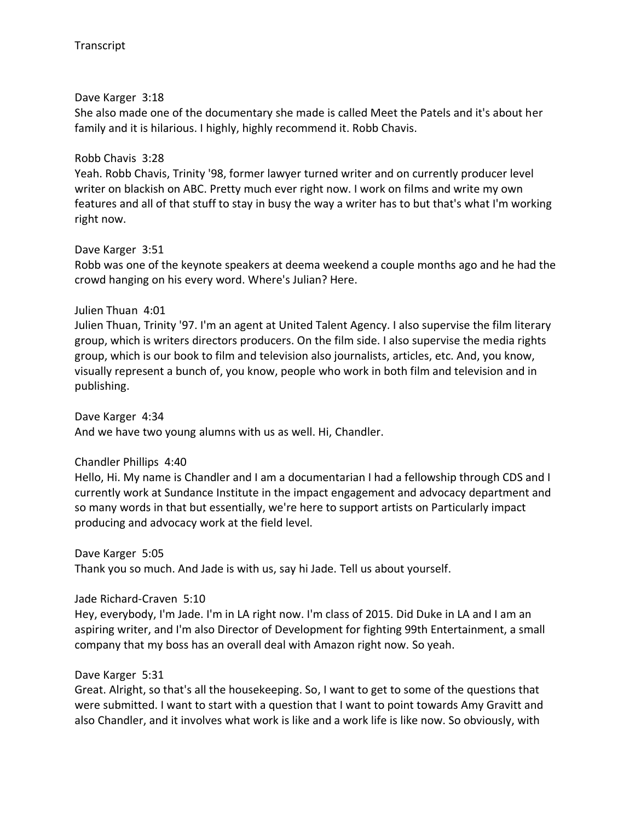### Dave Karger 3:18

She also made one of the documentary she made is called Meet the Patels and it's about her family and it is hilarious. I highly, highly recommend it. Robb Chavis.

### Robb Chavis 3:28

Yeah. Robb Chavis, Trinity '98, former lawyer turned writer and on currently producer level writer on blackish on ABC. Pretty much ever right now. I work on films and write my own features and all of that stuff to stay in busy the way a writer has to but that's what I'm working right now.

### Dave Karger 3:51

Robb was one of the keynote speakers at deema weekend a couple months ago and he had the crowd hanging on his every word. Where's Julian? Here.

### Julien Thuan 4:01

Julien Thuan, Trinity '97. I'm an agent at United Talent Agency. I also supervise the film literary group, which is writers directors producers. On the film side. I also supervise the media rights group, which is our book to film and television also journalists, articles, etc. And, you know, visually represent a bunch of, you know, people who work in both film and television and in publishing.

Dave Karger 4:34 And we have two young alumns with us as well. Hi, Chandler.

### Chandler Phillips 4:40

Hello, Hi. My name is Chandler and I am a documentarian I had a fellowship through CDS and I currently work at Sundance Institute in the impact engagement and advocacy department and so many words in that but essentially, we're here to support artists on Particularly impact producing and advocacy work at the field level.

Dave Karger 5:05

Thank you so much. And Jade is with us, say hi Jade. Tell us about yourself.

### Jade Richard-Craven 5:10

Hey, everybody, I'm Jade. I'm in LA right now. I'm class of 2015. Did Duke in LA and I am an aspiring writer, and I'm also Director of Development for fighting 99th Entertainment, a small company that my boss has an overall deal with Amazon right now. So yeah.

### Dave Karger 5:31

Great. Alright, so that's all the housekeeping. So, I want to get to some of the questions that were submitted. I want to start with a question that I want to point towards Amy Gravitt and also Chandler, and it involves what work is like and a work life is like now. So obviously, with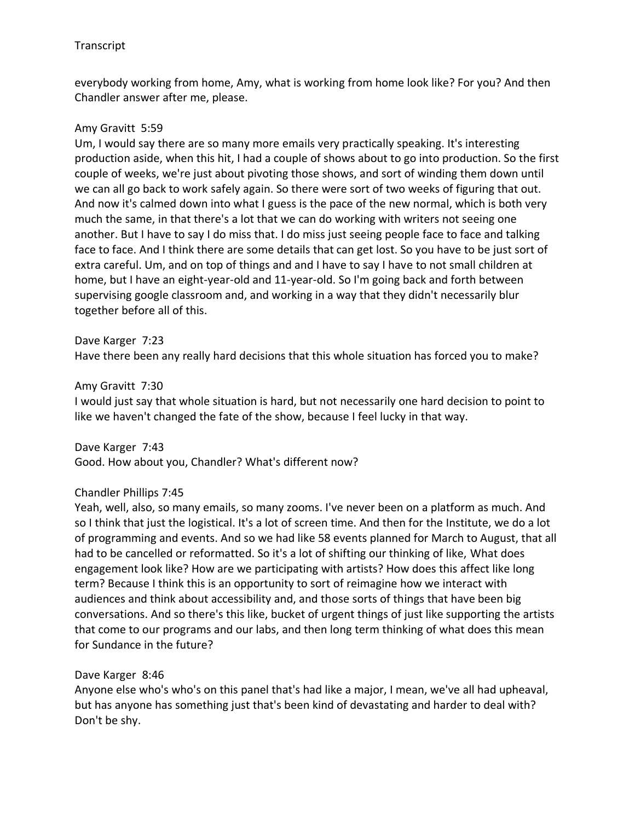everybody working from home, Amy, what is working from home look like? For you? And then Chandler answer after me, please.

### Amy Gravitt 5:59

Um, I would say there are so many more emails very practically speaking. It's interesting production aside, when this hit, I had a couple of shows about to go into production. So the first couple of weeks, we're just about pivoting those shows, and sort of winding them down until we can all go back to work safely again. So there were sort of two weeks of figuring that out. And now it's calmed down into what I guess is the pace of the new normal, which is both very much the same, in that there's a lot that we can do working with writers not seeing one another. But I have to say I do miss that. I do miss just seeing people face to face and talking face to face. And I think there are some details that can get lost. So you have to be just sort of extra careful. Um, and on top of things and and I have to say I have to not small children at home, but I have an eight-year-old and 11-year-old. So I'm going back and forth between supervising google classroom and, and working in a way that they didn't necessarily blur together before all of this.

#### Dave Karger 7:23

Have there been any really hard decisions that this whole situation has forced you to make?

#### Amy Gravitt 7:30

I would just say that whole situation is hard, but not necessarily one hard decision to point to like we haven't changed the fate of the show, because I feel lucky in that way.

Dave Karger 7:43 Good. How about you, Chandler? What's different now?

### Chandler Phillips 7:45

Yeah, well, also, so many emails, so many zooms. I've never been on a platform as much. And so I think that just the logistical. It's a lot of screen time. And then for the Institute, we do a lot of programming and events. And so we had like 58 events planned for March to August, that all had to be cancelled or reformatted. So it's a lot of shifting our thinking of like, What does engagement look like? How are we participating with artists? How does this affect like long term? Because I think this is an opportunity to sort of reimagine how we interact with audiences and think about accessibility and, and those sorts of things that have been big conversations. And so there's this like, bucket of urgent things of just like supporting the artists that come to our programs and our labs, and then long term thinking of what does this mean for Sundance in the future?

### Dave Karger 8:46

Anyone else who's who's on this panel that's had like a major, I mean, we've all had upheaval, but has anyone has something just that's been kind of devastating and harder to deal with? Don't be shy.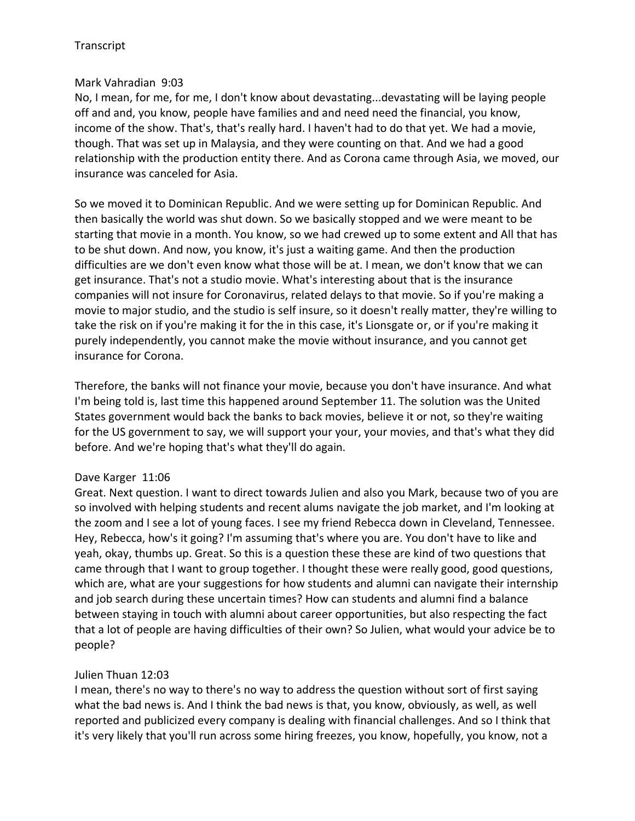### Mark Vahradian 9:03

No, I mean, for me, for me, I don't know about devastating...devastating will be laying people off and and, you know, people have families and and need need the financial, you know, income of the show. That's, that's really hard. I haven't had to do that yet. We had a movie, though. That was set up in Malaysia, and they were counting on that. And we had a good relationship with the production entity there. And as Corona came through Asia, we moved, our insurance was canceled for Asia.

So we moved it to Dominican Republic. And we were setting up for Dominican Republic. And then basically the world was shut down. So we basically stopped and we were meant to be starting that movie in a month. You know, so we had crewed up to some extent and All that has to be shut down. And now, you know, it's just a waiting game. And then the production difficulties are we don't even know what those will be at. I mean, we don't know that we can get insurance. That's not a studio movie. What's interesting about that is the insurance companies will not insure for Coronavirus, related delays to that movie. So if you're making a movie to major studio, and the studio is self insure, so it doesn't really matter, they're willing to take the risk on if you're making it for the in this case, it's Lionsgate or, or if you're making it purely independently, you cannot make the movie without insurance, and you cannot get insurance for Corona.

Therefore, the banks will not finance your movie, because you don't have insurance. And what I'm being told is, last time this happened around September 11. The solution was the United States government would back the banks to back movies, believe it or not, so they're waiting for the US government to say, we will support your your, your movies, and that's what they did before. And we're hoping that's what they'll do again.

### Dave Karger 11:06

Great. Next question. I want to direct towards Julien and also you Mark, because two of you are so involved with helping students and recent alums navigate the job market, and I'm looking at the zoom and I see a lot of young faces. I see my friend Rebecca down in Cleveland, Tennessee. Hey, Rebecca, how's it going? I'm assuming that's where you are. You don't have to like and yeah, okay, thumbs up. Great. So this is a question these these are kind of two questions that came through that I want to group together. I thought these were really good, good questions, which are, what are your suggestions for how students and alumni can navigate their internship and job search during these uncertain times? How can students and alumni find a balance between staying in touch with alumni about career opportunities, but also respecting the fact that a lot of people are having difficulties of their own? So Julien, what would your advice be to people?

## Julien Thuan 12:03

I mean, there's no way to there's no way to address the question without sort of first saying what the bad news is. And I think the bad news is that, you know, obviously, as well, as well reported and publicized every company is dealing with financial challenges. And so I think that it's very likely that you'll run across some hiring freezes, you know, hopefully, you know, not a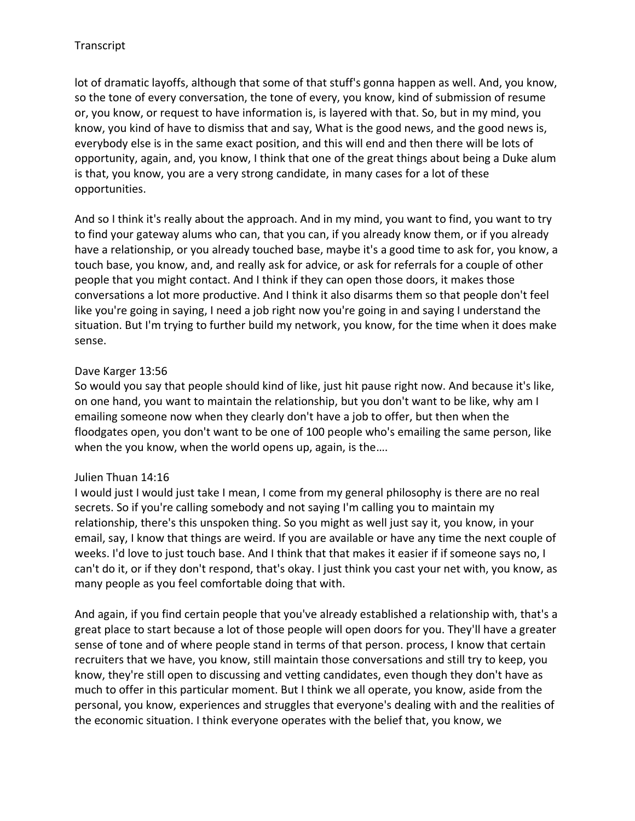lot of dramatic layoffs, although that some of that stuff's gonna happen as well. And, you know, so the tone of every conversation, the tone of every, you know, kind of submission of resume or, you know, or request to have information is, is layered with that. So, but in my mind, you know, you kind of have to dismiss that and say, What is the good news, and the good news is, everybody else is in the same exact position, and this will end and then there will be lots of opportunity, again, and, you know, I think that one of the great things about being a Duke alum is that, you know, you are a very strong candidate, in many cases for a lot of these opportunities.

And so I think it's really about the approach. And in my mind, you want to find, you want to try to find your gateway alums who can, that you can, if you already know them, or if you already have a relationship, or you already touched base, maybe it's a good time to ask for, you know, a touch base, you know, and, and really ask for advice, or ask for referrals for a couple of other people that you might contact. And I think if they can open those doors, it makes those conversations a lot more productive. And I think it also disarms them so that people don't feel like you're going in saying, I need a job right now you're going in and saying I understand the situation. But I'm trying to further build my network, you know, for the time when it does make sense.

## Dave Karger 13:56

So would you say that people should kind of like, just hit pause right now. And because it's like, on one hand, you want to maintain the relationship, but you don't want to be like, why am I emailing someone now when they clearly don't have a job to offer, but then when the floodgates open, you don't want to be one of 100 people who's emailing the same person, like when the you know, when the world opens up, again, is the....

# Julien Thuan 14:16

I would just I would just take I mean, I come from my general philosophy is there are no real secrets. So if you're calling somebody and not saying I'm calling you to maintain my relationship, there's this unspoken thing. So you might as well just say it, you know, in your email, say, I know that things are weird. If you are available or have any time the next couple of weeks. I'd love to just touch base. And I think that that makes it easier if if someone says no, I can't do it, or if they don't respond, that's okay. I just think you cast your net with, you know, as many people as you feel comfortable doing that with.

And again, if you find certain people that you've already established a relationship with, that's a great place to start because a lot of those people will open doors for you. They'll have a greater sense of tone and of where people stand in terms of that person. process, I know that certain recruiters that we have, you know, still maintain those conversations and still try to keep, you know, they're still open to discussing and vetting candidates, even though they don't have as much to offer in this particular moment. But I think we all operate, you know, aside from the personal, you know, experiences and struggles that everyone's dealing with and the realities of the economic situation. I think everyone operates with the belief that, you know, we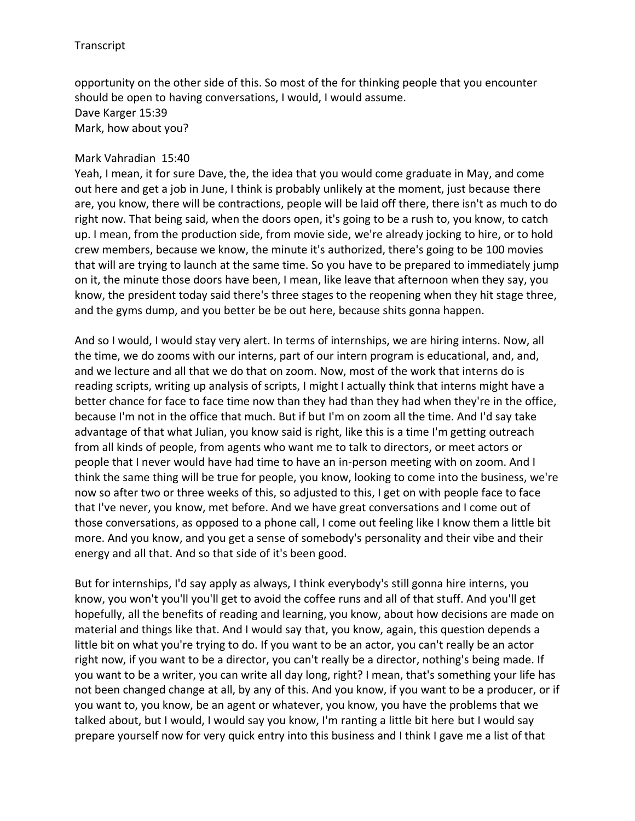opportunity on the other side of this. So most of the for thinking people that you encounter should be open to having conversations, I would, I would assume. Dave Karger 15:39 Mark, how about you?

#### Mark Vahradian 15:40

Yeah, I mean, it for sure Dave, the, the idea that you would come graduate in May, and come out here and get a job in June, I think is probably unlikely at the moment, just because there are, you know, there will be contractions, people will be laid off there, there isn't as much to do right now. That being said, when the doors open, it's going to be a rush to, you know, to catch up. I mean, from the production side, from movie side, we're already jocking to hire, or to hold crew members, because we know, the minute it's authorized, there's going to be 100 movies that will are trying to launch at the same time. So you have to be prepared to immediately jump on it, the minute those doors have been, I mean, like leave that afternoon when they say, you know, the president today said there's three stages to the reopening when they hit stage three, and the gyms dump, and you better be be out here, because shits gonna happen.

And so I would, I would stay very alert. In terms of internships, we are hiring interns. Now, all the time, we do zooms with our interns, part of our intern program is educational, and, and, and we lecture and all that we do that on zoom. Now, most of the work that interns do is reading scripts, writing up analysis of scripts, I might I actually think that interns might have a better chance for face to face time now than they had than they had when they're in the office, because I'm not in the office that much. But if but I'm on zoom all the time. And I'd say take advantage of that what Julian, you know said is right, like this is a time I'm getting outreach from all kinds of people, from agents who want me to talk to directors, or meet actors or people that I never would have had time to have an in-person meeting with on zoom. And I think the same thing will be true for people, you know, looking to come into the business, we're now so after two or three weeks of this, so adjusted to this, I get on with people face to face that I've never, you know, met before. And we have great conversations and I come out of those conversations, as opposed to a phone call, I come out feeling like I know them a little bit more. And you know, and you get a sense of somebody's personality and their vibe and their energy and all that. And so that side of it's been good.

But for internships, I'd say apply as always, I think everybody's still gonna hire interns, you know, you won't you'll you'll get to avoid the coffee runs and all of that stuff. And you'll get hopefully, all the benefits of reading and learning, you know, about how decisions are made on material and things like that. And I would say that, you know, again, this question depends a little bit on what you're trying to do. If you want to be an actor, you can't really be an actor right now, if you want to be a director, you can't really be a director, nothing's being made. If you want to be a writer, you can write all day long, right? I mean, that's something your life has not been changed change at all, by any of this. And you know, if you want to be a producer, or if you want to, you know, be an agent or whatever, you know, you have the problems that we talked about, but I would, I would say you know, I'm ranting a little bit here but I would say prepare yourself now for very quick entry into this business and I think I gave me a list of that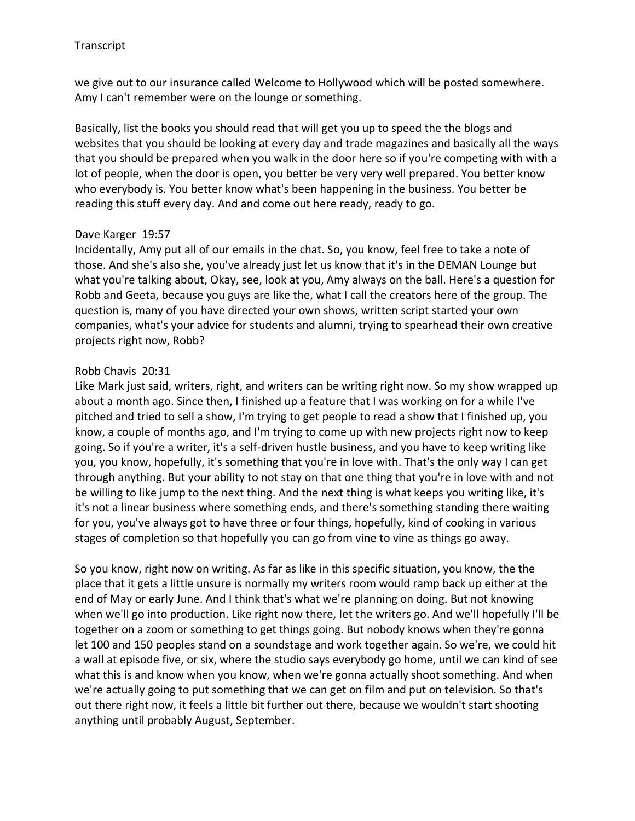we give out to our insurance called Welcome to Hollywood which will be posted somewhere. Amy I can't remember were on the lounge or something.

Basically, list the books you should read that will get you up to speed the the blogs and websites that you should be looking at every day and trade magazines and basically all the ways that you should be prepared when you walk in the door here so if you're competing with with a lot of people, when the door is open, you better be very very well prepared. You better know who everybody is. You better know what's been happening in the business. You better be reading this stuff every day. And and come out here ready, ready to go.

### Dave Karger 19:57

Incidentally, Amy put all of our emails in the chat. So, you know, feel free to take a note of those. And she's also she, you've already just let us know that it's in the DEMAN Lounge but what you're talking about, Okay, see, look at you, Amy always on the ball. Here's a question for Robb and Geeta, because you guys are like the, what I call the creators here of the group. The question is, many of you have directed your own shows, written script started your own companies, what's your advice for students and alumni, trying to spearhead their own creative projects right now, Robb?

### Robb Chavis 20:31

Like Mark just said, writers, right, and writers can be writing right now. So my show wrapped up about a month ago. Since then, I finished up a feature that I was working on for a while I've pitched and tried to sell a show, I'm trying to get people to read a show that I finished up, you know, a couple of months ago, and I'm trying to come up with new projects right now to keep going. So if you're a writer, it's a self-driven hustle business, and you have to keep writing like you, you know, hopefully, it's something that you're in love with. That's the only way I can get through anything. But your ability to not stay on that one thing that you're in love with and not be willing to like jump to the next thing. And the next thing is what keeps you writing like, it's it's not a linear business where something ends, and there's something standing there waiting for you, you've always got to have three or four things, hopefully, kind of cooking in various stages of completion so that hopefully you can go from vine to vine as things go away.

So you know, right now on writing. As far as like in this specific situation, you know, the the place that it gets a little unsure is normally my writers room would ramp back up either at the end of May or early June. And I think that's what we're planning on doing. But not knowing when we'll go into production. Like right now there, let the writers go. And we'll hopefully I'll be together on a zoom or something to get things going. But nobody knows when they're gonna let 100 and 150 peoples stand on a soundstage and work together again. So we're, we could hit a wall at episode five, or six, where the studio says everybody go home, until we can kind of see what this is and know when you know, when we're gonna actually shoot something. And when we're actually going to put something that we can get on film and put on television. So that's out there right now, it feels a little bit further out there, because we wouldn't start shooting anything until probably August, September.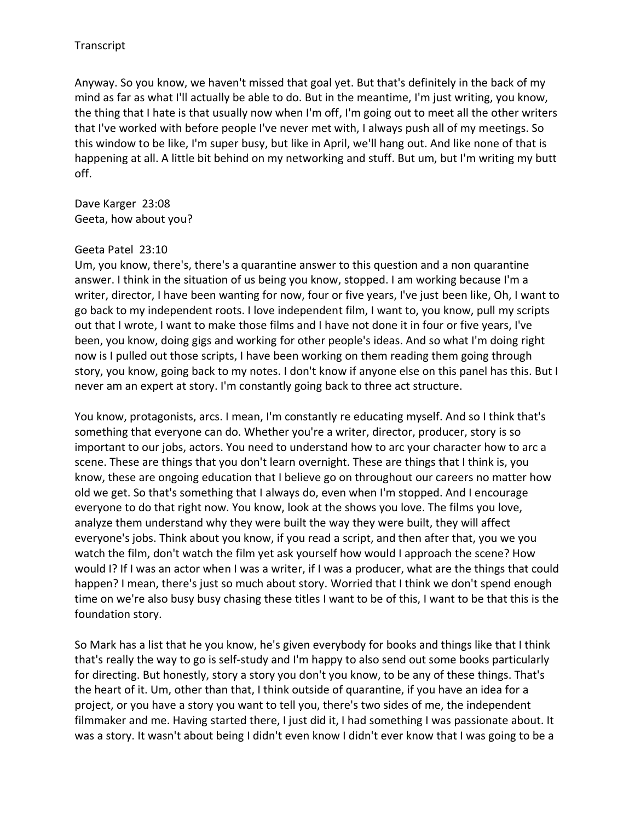Anyway. So you know, we haven't missed that goal yet. But that's definitely in the back of my mind as far as what I'll actually be able to do. But in the meantime, I'm just writing, you know, the thing that I hate is that usually now when I'm off, I'm going out to meet all the other writers that I've worked with before people I've never met with, I always push all of my meetings. So this window to be like, I'm super busy, but like in April, we'll hang out. And like none of that is happening at all. A little bit behind on my networking and stuff. But um, but I'm writing my butt off.

Dave Karger 23:08 Geeta, how about you?

#### Geeta Patel 23:10

Um, you know, there's, there's a quarantine answer to this question and a non quarantine answer. I think in the situation of us being you know, stopped. I am working because I'm a writer, director, I have been wanting for now, four or five years, I've just been like, Oh, I want to go back to my independent roots. I love independent film, I want to, you know, pull my scripts out that I wrote, I want to make those films and I have not done it in four or five years, I've been, you know, doing gigs and working for other people's ideas. And so what I'm doing right now is I pulled out those scripts, I have been working on them reading them going through story, you know, going back to my notes. I don't know if anyone else on this panel has this. But I never am an expert at story. I'm constantly going back to three act structure.

You know, protagonists, arcs. I mean, I'm constantly re educating myself. And so I think that's something that everyone can do. Whether you're a writer, director, producer, story is so important to our jobs, actors. You need to understand how to arc your character how to arc a scene. These are things that you don't learn overnight. These are things that I think is, you know, these are ongoing education that I believe go on throughout our careers no matter how old we get. So that's something that I always do, even when I'm stopped. And I encourage everyone to do that right now. You know, look at the shows you love. The films you love, analyze them understand why they were built the way they were built, they will affect everyone's jobs. Think about you know, if you read a script, and then after that, you we you watch the film, don't watch the film yet ask yourself how would I approach the scene? How would I? If I was an actor when I was a writer, if I was a producer, what are the things that could happen? I mean, there's just so much about story. Worried that I think we don't spend enough time on we're also busy busy chasing these titles I want to be of this, I want to be that this is the foundation story.

So Mark has a list that he you know, he's given everybody for books and things like that I think that's really the way to go is self-study and I'm happy to also send out some books particularly for directing. But honestly, story a story you don't you know, to be any of these things. That's the heart of it. Um, other than that, I think outside of quarantine, if you have an idea for a project, or you have a story you want to tell you, there's two sides of me, the independent filmmaker and me. Having started there, I just did it, I had something I was passionate about. It was a story. It wasn't about being I didn't even know I didn't ever know that I was going to be a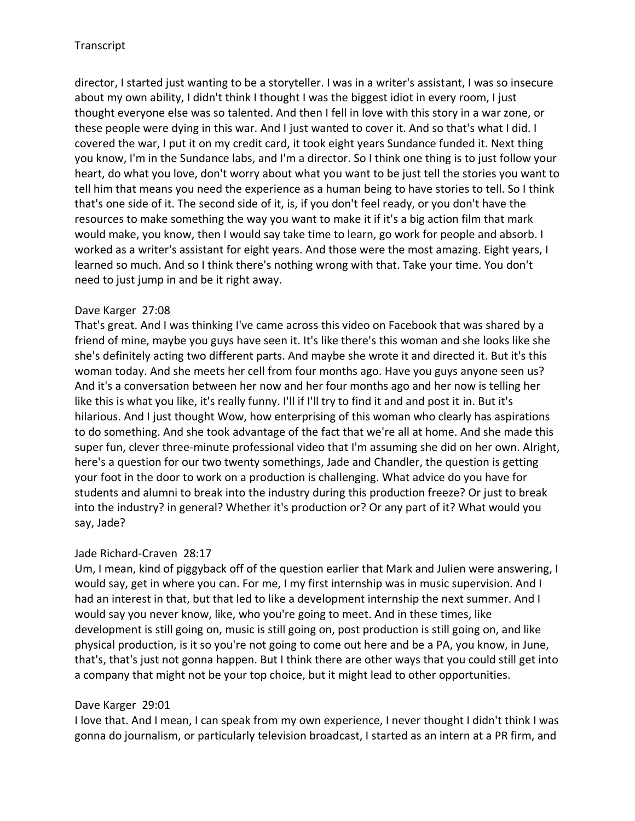director, I started just wanting to be a storyteller. I was in a writer's assistant, I was so insecure about my own ability, I didn't think I thought I was the biggest idiot in every room, I just thought everyone else was so talented. And then I fell in love with this story in a war zone, or these people were dying in this war. And I just wanted to cover it. And so that's what I did. I covered the war, I put it on my credit card, it took eight years Sundance funded it. Next thing you know, I'm in the Sundance labs, and I'm a director. So I think one thing is to just follow your heart, do what you love, don't worry about what you want to be just tell the stories you want to tell him that means you need the experience as a human being to have stories to tell. So I think that's one side of it. The second side of it, is, if you don't feel ready, or you don't have the resources to make something the way you want to make it if it's a big action film that mark would make, you know, then I would say take time to learn, go work for people and absorb. I worked as a writer's assistant for eight years. And those were the most amazing. Eight years, I learned so much. And so I think there's nothing wrong with that. Take your time. You don't need to just jump in and be it right away.

## Dave Karger 27:08

That's great. And I was thinking I've came across this video on Facebook that was shared by a friend of mine, maybe you guys have seen it. It's like there's this woman and she looks like she she's definitely acting two different parts. And maybe she wrote it and directed it. But it's this woman today. And she meets her cell from four months ago. Have you guys anyone seen us? And it's a conversation between her now and her four months ago and her now is telling her like this is what you like, it's really funny. I'll if I'll try to find it and and post it in. But it's hilarious. And I just thought Wow, how enterprising of this woman who clearly has aspirations to do something. And she took advantage of the fact that we're all at home. And she made this super fun, clever three-minute professional video that I'm assuming she did on her own. Alright, here's a question for our two twenty somethings, Jade and Chandler, the question is getting your foot in the door to work on a production is challenging. What advice do you have for students and alumni to break into the industry during this production freeze? Or just to break into the industry? in general? Whether it's production or? Or any part of it? What would you say, Jade?

## Jade Richard-Craven 28:17

Um, I mean, kind of piggyback off of the question earlier that Mark and Julien were answering, I would say, get in where you can. For me, I my first internship was in music supervision. And I had an interest in that, but that led to like a development internship the next summer. And I would say you never know, like, who you're going to meet. And in these times, like development is still going on, music is still going on, post production is still going on, and like physical production, is it so you're not going to come out here and be a PA, you know, in June, that's, that's just not gonna happen. But I think there are other ways that you could still get into a company that might not be your top choice, but it might lead to other opportunities.

## Dave Karger 29:01

I love that. And I mean, I can speak from my own experience, I never thought I didn't think I was gonna do journalism, or particularly television broadcast, I started as an intern at a PR firm, and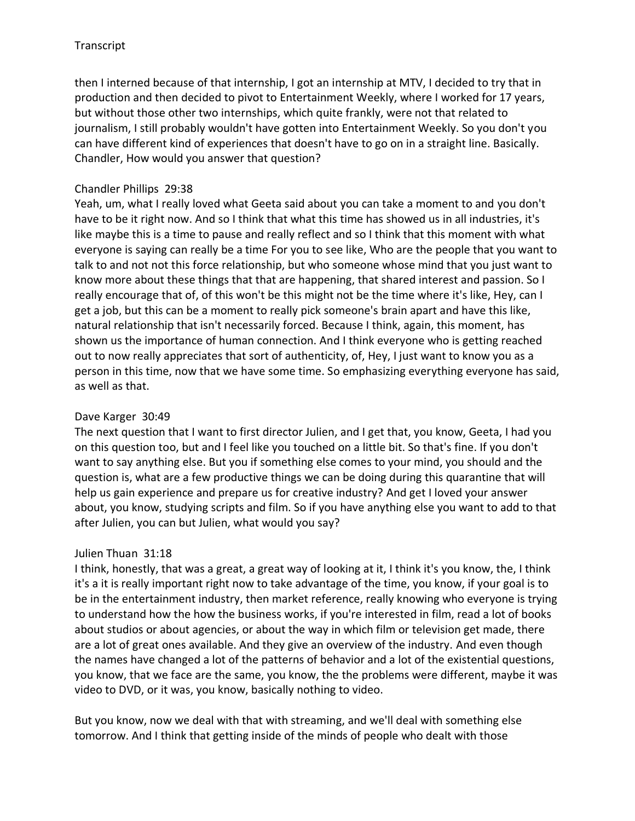then I interned because of that internship, I got an internship at MTV, I decided to try that in production and then decided to pivot to Entertainment Weekly, where I worked for 17 years, but without those other two internships, which quite frankly, were not that related to journalism, I still probably wouldn't have gotten into Entertainment Weekly. So you don't you can have different kind of experiences that doesn't have to go on in a straight line. Basically. Chandler, How would you answer that question?

## Chandler Phillips 29:38

Yeah, um, what I really loved what Geeta said about you can take a moment to and you don't have to be it right now. And so I think that what this time has showed us in all industries, it's like maybe this is a time to pause and really reflect and so I think that this moment with what everyone is saying can really be a time For you to see like, Who are the people that you want to talk to and not not this force relationship, but who someone whose mind that you just want to know more about these things that that are happening, that shared interest and passion. So I really encourage that of, of this won't be this might not be the time where it's like, Hey, can I get a job, but this can be a moment to really pick someone's brain apart and have this like, natural relationship that isn't necessarily forced. Because I think, again, this moment, has shown us the importance of human connection. And I think everyone who is getting reached out to now really appreciates that sort of authenticity, of, Hey, I just want to know you as a person in this time, now that we have some time. So emphasizing everything everyone has said, as well as that.

## Dave Karger 30:49

The next question that I want to first director Julien, and I get that, you know, Geeta, I had you on this question too, but and I feel like you touched on a little bit. So that's fine. If you don't want to say anything else. But you if something else comes to your mind, you should and the question is, what are a few productive things we can be doing during this quarantine that will help us gain experience and prepare us for creative industry? And get I loved your answer about, you know, studying scripts and film. So if you have anything else you want to add to that after Julien, you can but Julien, what would you say?

## Julien Thuan 31:18

I think, honestly, that was a great, a great way of looking at it, I think it's you know, the, I think it's a it is really important right now to take advantage of the time, you know, if your goal is to be in the entertainment industry, then market reference, really knowing who everyone is trying to understand how the how the business works, if you're interested in film, read a lot of books about studios or about agencies, or about the way in which film or television get made, there are a lot of great ones available. And they give an overview of the industry. And even though the names have changed a lot of the patterns of behavior and a lot of the existential questions, you know, that we face are the same, you know, the the problems were different, maybe it was video to DVD, or it was, you know, basically nothing to video.

But you know, now we deal with that with streaming, and we'll deal with something else tomorrow. And I think that getting inside of the minds of people who dealt with those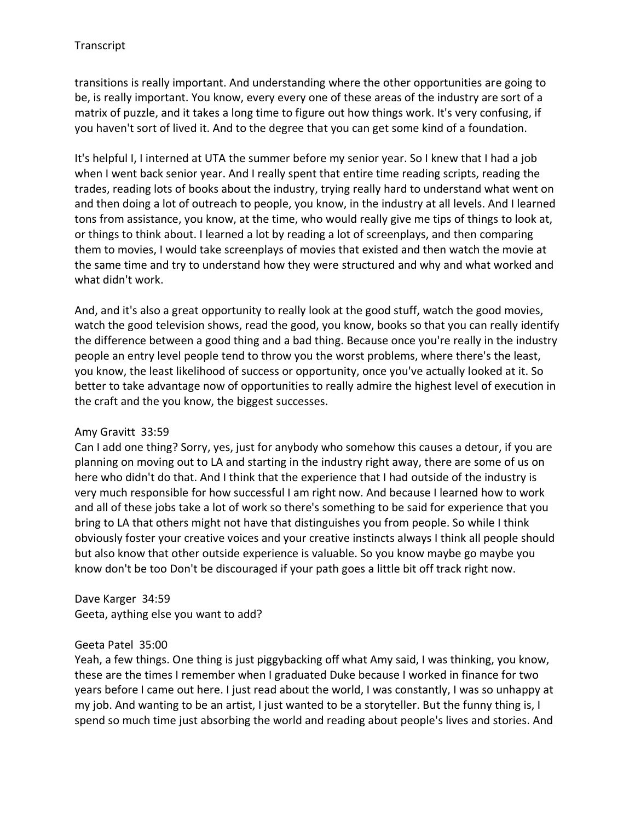transitions is really important. And understanding where the other opportunities are going to be, is really important. You know, every every one of these areas of the industry are sort of a matrix of puzzle, and it takes a long time to figure out how things work. It's very confusing, if you haven't sort of lived it. And to the degree that you can get some kind of a foundation.

It's helpful I, I interned at UTA the summer before my senior year. So I knew that I had a job when I went back senior year. And I really spent that entire time reading scripts, reading the trades, reading lots of books about the industry, trying really hard to understand what went on and then doing a lot of outreach to people, you know, in the industry at all levels. And I learned tons from assistance, you know, at the time, who would really give me tips of things to look at, or things to think about. I learned a lot by reading a lot of screenplays, and then comparing them to movies, I would take screenplays of movies that existed and then watch the movie at the same time and try to understand how they were structured and why and what worked and what didn't work.

And, and it's also a great opportunity to really look at the good stuff, watch the good movies, watch the good television shows, read the good, you know, books so that you can really identify the difference between a good thing and a bad thing. Because once you're really in the industry people an entry level people tend to throw you the worst problems, where there's the least, you know, the least likelihood of success or opportunity, once you've actually looked at it. So better to take advantage now of opportunities to really admire the highest level of execution in the craft and the you know, the biggest successes.

## Amy Gravitt 33:59

Can I add one thing? Sorry, yes, just for anybody who somehow this causes a detour, if you are planning on moving out to LA and starting in the industry right away, there are some of us on here who didn't do that. And I think that the experience that I had outside of the industry is very much responsible for how successful I am right now. And because I learned how to work and all of these jobs take a lot of work so there's something to be said for experience that you bring to LA that others might not have that distinguishes you from people. So while I think obviously foster your creative voices and your creative instincts always I think all people should but also know that other outside experience is valuable. So you know maybe go maybe you know don't be too Don't be discouraged if your path goes a little bit off track right now.

Dave Karger 34:59 Geeta, aything else you want to add?

### Geeta Patel 35:00

Yeah, a few things. One thing is just piggybacking off what Amy said, I was thinking, you know, these are the times I remember when I graduated Duke because I worked in finance for two years before I came out here. I just read about the world, I was constantly, I was so unhappy at my job. And wanting to be an artist, I just wanted to be a storyteller. But the funny thing is, I spend so much time just absorbing the world and reading about people's lives and stories. And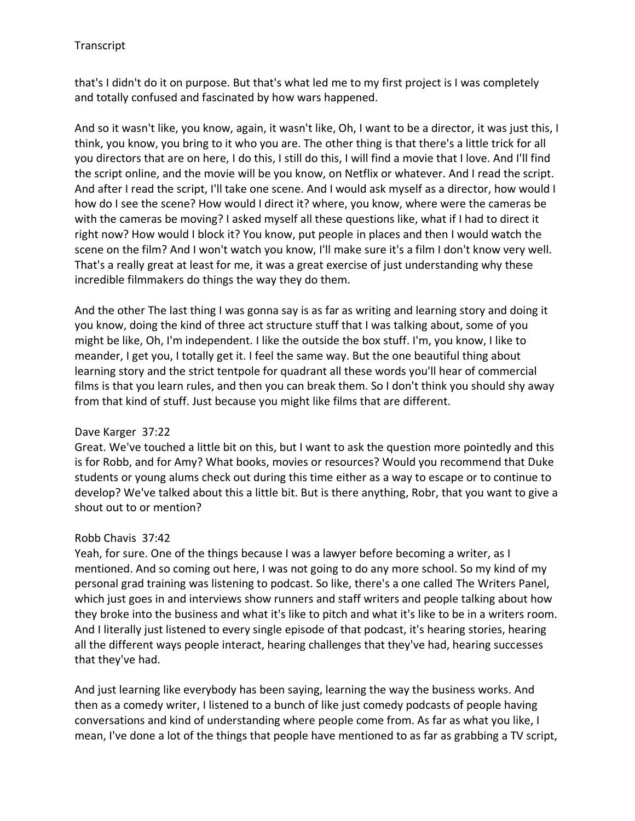that's I didn't do it on purpose. But that's what led me to my first project is I was completely and totally confused and fascinated by how wars happened.

And so it wasn't like, you know, again, it wasn't like, Oh, I want to be a director, it was just this, I think, you know, you bring to it who you are. The other thing is that there's a little trick for all you directors that are on here, I do this, I still do this, I will find a movie that I love. And I'll find the script online, and the movie will be you know, on Netflix or whatever. And I read the script. And after I read the script, I'll take one scene. And I would ask myself as a director, how would I how do I see the scene? How would I direct it? where, you know, where were the cameras be with the cameras be moving? I asked myself all these questions like, what if I had to direct it right now? How would I block it? You know, put people in places and then I would watch the scene on the film? And I won't watch you know, I'll make sure it's a film I don't know very well. That's a really great at least for me, it was a great exercise of just understanding why these incredible filmmakers do things the way they do them.

And the other The last thing I was gonna say is as far as writing and learning story and doing it you know, doing the kind of three act structure stuff that I was talking about, some of you might be like, Oh, I'm independent. I like the outside the box stuff. I'm, you know, I like to meander, I get you, I totally get it. I feel the same way. But the one beautiful thing about learning story and the strict tentpole for quadrant all these words you'll hear of commercial films is that you learn rules, and then you can break them. So I don't think you should shy away from that kind of stuff. Just because you might like films that are different.

## Dave Karger 37:22

Great. We've touched a little bit on this, but I want to ask the question more pointedly and this is for Robb, and for Amy? What books, movies or resources? Would you recommend that Duke students or young alums check out during this time either as a way to escape or to continue to develop? We've talked about this a little bit. But is there anything, Robr, that you want to give a shout out to or mention?

# Robb Chavis 37:42

Yeah, for sure. One of the things because I was a lawyer before becoming a writer, as I mentioned. And so coming out here, I was not going to do any more school. So my kind of my personal grad training was listening to podcast. So like, there's a one called The Writers Panel, which just goes in and interviews show runners and staff writers and people talking about how they broke into the business and what it's like to pitch and what it's like to be in a writers room. And I literally just listened to every single episode of that podcast, it's hearing stories, hearing all the different ways people interact, hearing challenges that they've had, hearing successes that they've had.

And just learning like everybody has been saying, learning the way the business works. And then as a comedy writer, I listened to a bunch of like just comedy podcasts of people having conversations and kind of understanding where people come from. As far as what you like, I mean, I've done a lot of the things that people have mentioned to as far as grabbing a TV script,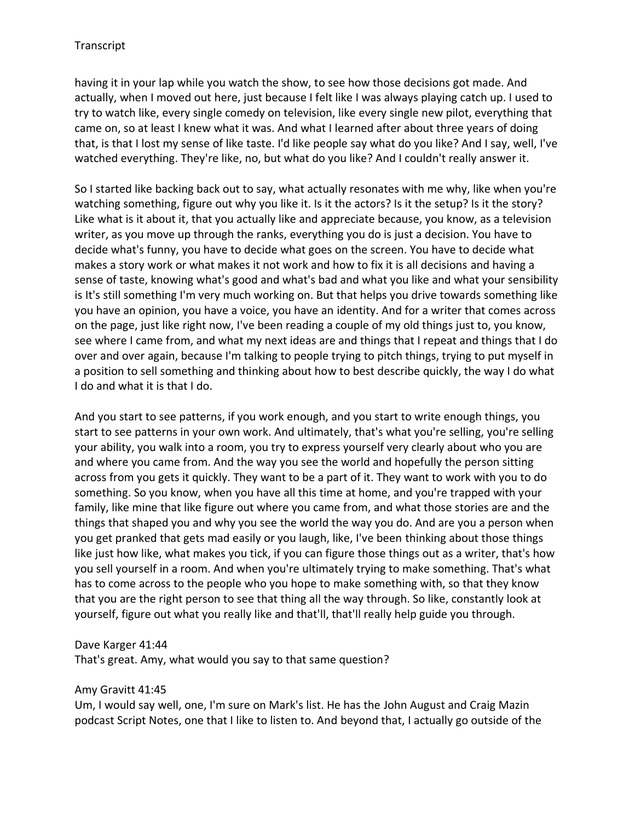having it in your lap while you watch the show, to see how those decisions got made. And actually, when I moved out here, just because I felt like I was always playing catch up. I used to try to watch like, every single comedy on television, like every single new pilot, everything that came on, so at least I knew what it was. And what I learned after about three years of doing that, is that I lost my sense of like taste. I'd like people say what do you like? And I say, well, I've watched everything. They're like, no, but what do you like? And I couldn't really answer it.

So I started like backing back out to say, what actually resonates with me why, like when you're watching something, figure out why you like it. Is it the actors? Is it the setup? Is it the story? Like what is it about it, that you actually like and appreciate because, you know, as a television writer, as you move up through the ranks, everything you do is just a decision. You have to decide what's funny, you have to decide what goes on the screen. You have to decide what makes a story work or what makes it not work and how to fix it is all decisions and having a sense of taste, knowing what's good and what's bad and what you like and what your sensibility is It's still something I'm very much working on. But that helps you drive towards something like you have an opinion, you have a voice, you have an identity. And for a writer that comes across on the page, just like right now, I've been reading a couple of my old things just to, you know, see where I came from, and what my next ideas are and things that I repeat and things that I do over and over again, because I'm talking to people trying to pitch things, trying to put myself in a position to sell something and thinking about how to best describe quickly, the way I do what I do and what it is that I do.

And you start to see patterns, if you work enough, and you start to write enough things, you start to see patterns in your own work. And ultimately, that's what you're selling, you're selling your ability, you walk into a room, you try to express yourself very clearly about who you are and where you came from. And the way you see the world and hopefully the person sitting across from you gets it quickly. They want to be a part of it. They want to work with you to do something. So you know, when you have all this time at home, and you're trapped with your family, like mine that like figure out where you came from, and what those stories are and the things that shaped you and why you see the world the way you do. And are you a person when you get pranked that gets mad easily or you laugh, like, I've been thinking about those things like just how like, what makes you tick, if you can figure those things out as a writer, that's how you sell yourself in a room. And when you're ultimately trying to make something. That's what has to come across to the people who you hope to make something with, so that they know that you are the right person to see that thing all the way through. So like, constantly look at yourself, figure out what you really like and that'll, that'll really help guide you through.

### Dave Karger 41:44

That's great. Amy, what would you say to that same question?

#### Amy Gravitt 41:45

Um, I would say well, one, I'm sure on Mark's list. He has the John August and Craig Mazin podcast Script Notes, one that I like to listen to. And beyond that, I actually go outside of the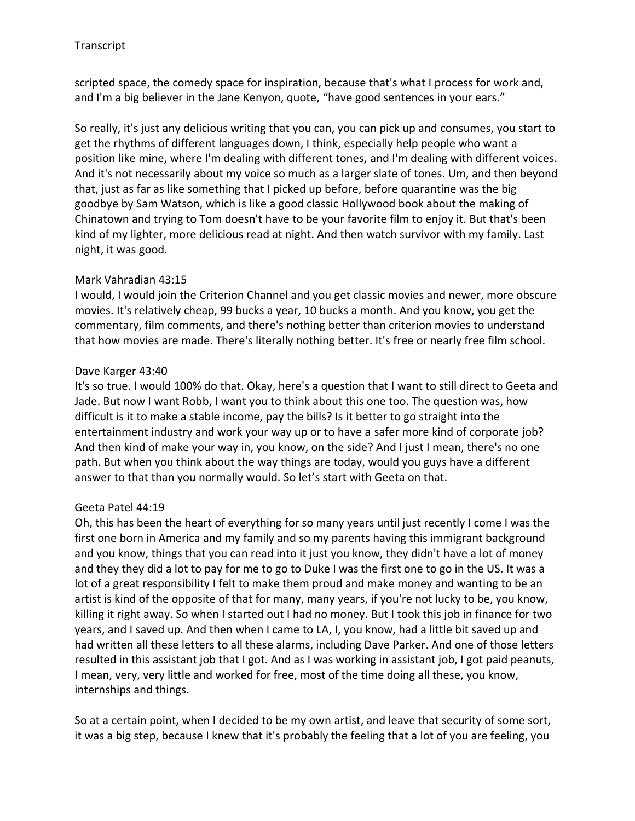scripted space, the comedy space for inspiration, because that's what I process for work and, and I'm a big believer in the Jane Kenyon, quote, "have good sentences in your ears."

So really, it's just any delicious writing that you can, you can pick up and consumes, you start to get the rhythms of different languages down, I think, especially help people who want a position like mine, where I'm dealing with different tones, and I'm dealing with different voices. And it's not necessarily about my voice so much as a larger slate of tones. Um, and then beyond that, just as far as like something that I picked up before, before quarantine was the big goodbye by Sam Watson, which is like a good classic Hollywood book about the making of Chinatown and trying to Tom doesn't have to be your favorite film to enjoy it. But that's been kind of my lighter, more delicious read at night. And then watch survivor with my family. Last night, it was good.

## Mark Vahradian 43:15

I would, I would join the Criterion Channel and you get classic movies and newer, more obscure movies. It's relatively cheap, 99 bucks a year, 10 bucks a month. And you know, you get the commentary, film comments, and there's nothing better than criterion movies to understand that how movies are made. There's literally nothing better. It's free or nearly free film school.

## Dave Karger 43:40

It's so true. I would 100% do that. Okay, here's a question that I want to still direct to Geeta and Jade. But now I want Robb, I want you to think about this one too. The question was, how difficult is it to make a stable income, pay the bills? Is it better to go straight into the entertainment industry and work your way up or to have a safer more kind of corporate job? And then kind of make your way in, you know, on the side? And I just I mean, there's no one path. But when you think about the way things are today, would you guys have a different answer to that than you normally would. So let's start with Geeta on that.

## Geeta Patel 44:19

Oh, this has been the heart of everything for so many years until just recently I come I was the first one born in America and my family and so my parents having this immigrant background and you know, things that you can read into it just you know, they didn't have a lot of money and they they did a lot to pay for me to go to Duke I was the first one to go in the US. It was a lot of a great responsibility I felt to make them proud and make money and wanting to be an artist is kind of the opposite of that for many, many years, if you're not lucky to be, you know, killing it right away. So when I started out I had no money. But I took this job in finance for two years, and I saved up. And then when I came to LA, I, you know, had a little bit saved up and had written all these letters to all these alarms, including Dave Parker. And one of those letters resulted in this assistant job that I got. And as I was working in assistant job, I got paid peanuts, I mean, very, very little and worked for free, most of the time doing all these, you know, internships and things.

So at a certain point, when I decided to be my own artist, and leave that security of some sort, it was a big step, because I knew that it's probably the feeling that a lot of you are feeling, you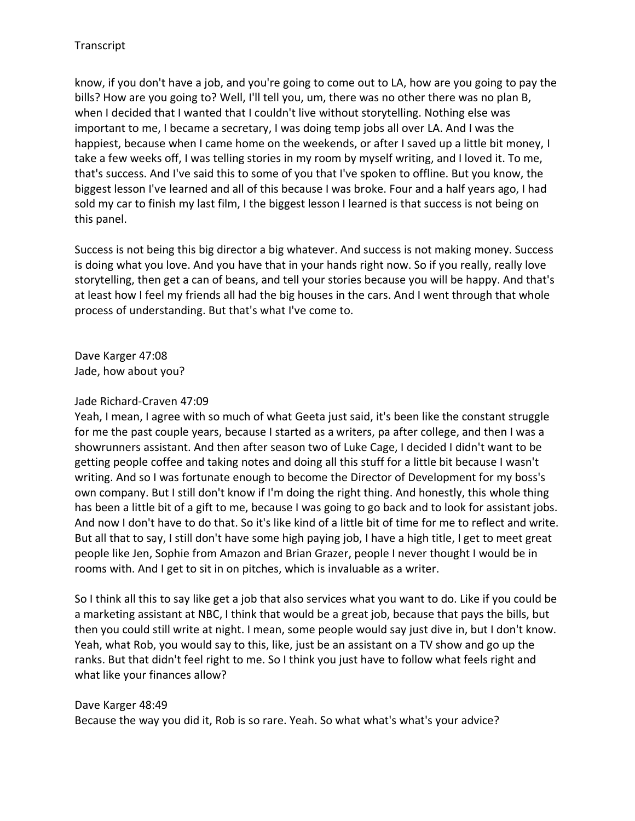know, if you don't have a job, and you're going to come out to LA, how are you going to pay the bills? How are you going to? Well, I'll tell you, um, there was no other there was no plan B, when I decided that I wanted that I couldn't live without storytelling. Nothing else was important to me, I became a secretary, I was doing temp jobs all over LA. And I was the happiest, because when I came home on the weekends, or after I saved up a little bit money, I take a few weeks off, I was telling stories in my room by myself writing, and I loved it. To me, that's success. And I've said this to some of you that I've spoken to offline. But you know, the biggest lesson I've learned and all of this because I was broke. Four and a half years ago, I had sold my car to finish my last film, I the biggest lesson I learned is that success is not being on this panel.

Success is not being this big director a big whatever. And success is not making money. Success is doing what you love. And you have that in your hands right now. So if you really, really love storytelling, then get a can of beans, and tell your stories because you will be happy. And that's at least how I feel my friends all had the big houses in the cars. And I went through that whole process of understanding. But that's what I've come to.

Dave Karger 47:08 Jade, how about you?

### Jade Richard-Craven 47:09

Yeah, I mean, I agree with so much of what Geeta just said, it's been like the constant struggle for me the past couple years, because I started as a writers, pa after college, and then I was a showrunners assistant. And then after season two of Luke Cage, I decided I didn't want to be getting people coffee and taking notes and doing all this stuff for a little bit because I wasn't writing. And so I was fortunate enough to become the Director of Development for my boss's own company. But I still don't know if I'm doing the right thing. And honestly, this whole thing has been a little bit of a gift to me, because I was going to go back and to look for assistant jobs. And now I don't have to do that. So it's like kind of a little bit of time for me to reflect and write. But all that to say, I still don't have some high paying job, I have a high title, I get to meet great people like Jen, Sophie from Amazon and Brian Grazer, people I never thought I would be in rooms with. And I get to sit in on pitches, which is invaluable as a writer.

So I think all this to say like get a job that also services what you want to do. Like if you could be a marketing assistant at NBC, I think that would be a great job, because that pays the bills, but then you could still write at night. I mean, some people would say just dive in, but I don't know. Yeah, what Rob, you would say to this, like, just be an assistant on a TV show and go up the ranks. But that didn't feel right to me. So I think you just have to follow what feels right and what like your finances allow?

### Dave Karger 48:49

Because the way you did it, Rob is so rare. Yeah. So what what's what's your advice?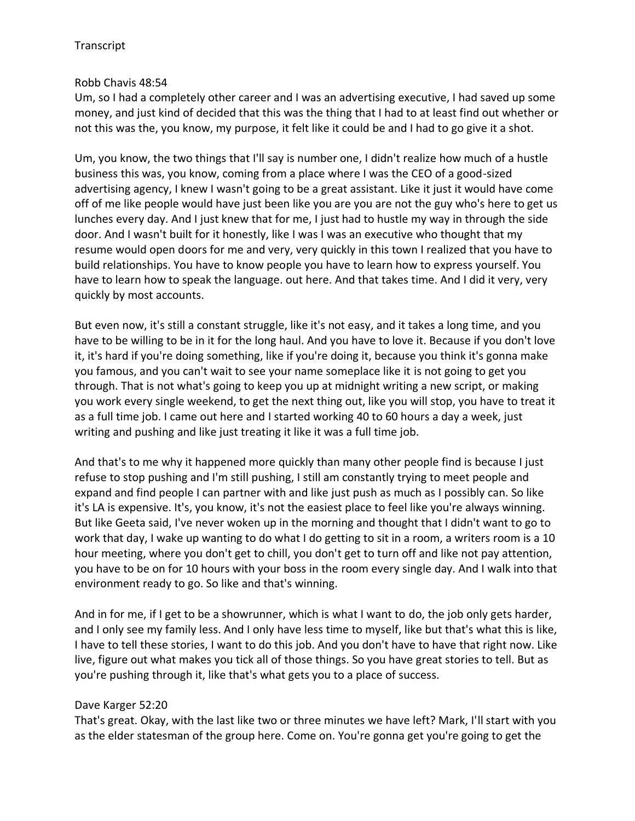## Robb Chavis 48:54

Um, so I had a completely other career and I was an advertising executive, I had saved up some money, and just kind of decided that this was the thing that I had to at least find out whether or not this was the, you know, my purpose, it felt like it could be and I had to go give it a shot.

Um, you know, the two things that I'll say is number one, I didn't realize how much of a hustle business this was, you know, coming from a place where I was the CEO of a good-sized advertising agency, I knew I wasn't going to be a great assistant. Like it just it would have come off of me like people would have just been like you are you are not the guy who's here to get us lunches every day. And I just knew that for me, I just had to hustle my way in through the side door. And I wasn't built for it honestly, like I was I was an executive who thought that my resume would open doors for me and very, very quickly in this town I realized that you have to build relationships. You have to know people you have to learn how to express yourself. You have to learn how to speak the language. out here. And that takes time. And I did it very, very quickly by most accounts.

But even now, it's still a constant struggle, like it's not easy, and it takes a long time, and you have to be willing to be in it for the long haul. And you have to love it. Because if you don't love it, it's hard if you're doing something, like if you're doing it, because you think it's gonna make you famous, and you can't wait to see your name someplace like it is not going to get you through. That is not what's going to keep you up at midnight writing a new script, or making you work every single weekend, to get the next thing out, like you will stop, you have to treat it as a full time job. I came out here and I started working 40 to 60 hours a day a week, just writing and pushing and like just treating it like it was a full time job.

And that's to me why it happened more quickly than many other people find is because I just refuse to stop pushing and I'm still pushing, I still am constantly trying to meet people and expand and find people I can partner with and like just push as much as I possibly can. So like it's LA is expensive. It's, you know, it's not the easiest place to feel like you're always winning. But like Geeta said, I've never woken up in the morning and thought that I didn't want to go to work that day, I wake up wanting to do what I do getting to sit in a room, a writers room is a 10 hour meeting, where you don't get to chill, you don't get to turn off and like not pay attention, you have to be on for 10 hours with your boss in the room every single day. And I walk into that environment ready to go. So like and that's winning.

And in for me, if I get to be a showrunner, which is what I want to do, the job only gets harder, and I only see my family less. And I only have less time to myself, like but that's what this is like, I have to tell these stories, I want to do this job. And you don't have to have that right now. Like live, figure out what makes you tick all of those things. So you have great stories to tell. But as you're pushing through it, like that's what gets you to a place of success.

## Dave Karger 52:20

That's great. Okay, with the last like two or three minutes we have left? Mark, I'll start with you as the elder statesman of the group here. Come on. You're gonna get you're going to get the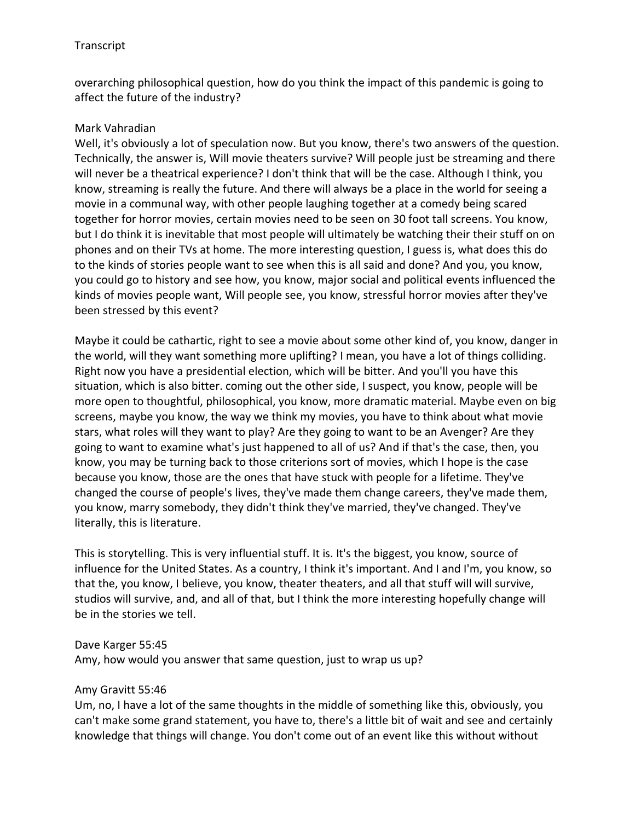overarching philosophical question, how do you think the impact of this pandemic is going to affect the future of the industry?

## Mark Vahradian

Well, it's obviously a lot of speculation now. But you know, there's two answers of the question. Technically, the answer is, Will movie theaters survive? Will people just be streaming and there will never be a theatrical experience? I don't think that will be the case. Although I think, you know, streaming is really the future. And there will always be a place in the world for seeing a movie in a communal way, with other people laughing together at a comedy being scared together for horror movies, certain movies need to be seen on 30 foot tall screens. You know, but I do think it is inevitable that most people will ultimately be watching their their stuff on on phones and on their TVs at home. The more interesting question, I guess is, what does this do to the kinds of stories people want to see when this is all said and done? And you, you know, you could go to history and see how, you know, major social and political events influenced the kinds of movies people want, Will people see, you know, stressful horror movies after they've been stressed by this event?

Maybe it could be cathartic, right to see a movie about some other kind of, you know, danger in the world, will they want something more uplifting? I mean, you have a lot of things colliding. Right now you have a presidential election, which will be bitter. And you'll you have this situation, which is also bitter. coming out the other side, I suspect, you know, people will be more open to thoughtful, philosophical, you know, more dramatic material. Maybe even on big screens, maybe you know, the way we think my movies, you have to think about what movie stars, what roles will they want to play? Are they going to want to be an Avenger? Are they going to want to examine what's just happened to all of us? And if that's the case, then, you know, you may be turning back to those criterions sort of movies, which I hope is the case because you know, those are the ones that have stuck with people for a lifetime. They've changed the course of people's lives, they've made them change careers, they've made them, you know, marry somebody, they didn't think they've married, they've changed. They've literally, this is literature.

This is storytelling. This is very influential stuff. It is. It's the biggest, you know, source of influence for the United States. As a country, I think it's important. And I and I'm, you know, so that the, you know, I believe, you know, theater theaters, and all that stuff will will survive, studios will survive, and, and all of that, but I think the more interesting hopefully change will be in the stories we tell.

# Dave Karger 55:45 Amy, how would you answer that same question, just to wrap us up?

## Amy Gravitt 55:46

Um, no, I have a lot of the same thoughts in the middle of something like this, obviously, you can't make some grand statement, you have to, there's a little bit of wait and see and certainly knowledge that things will change. You don't come out of an event like this without without